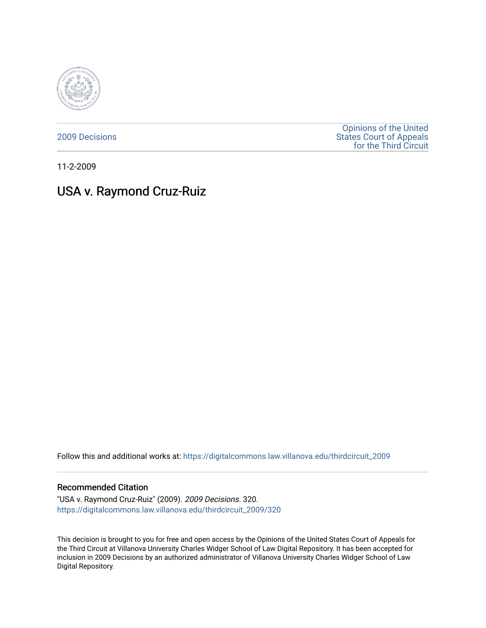

[2009 Decisions](https://digitalcommons.law.villanova.edu/thirdcircuit_2009)

[Opinions of the United](https://digitalcommons.law.villanova.edu/thirdcircuit)  [States Court of Appeals](https://digitalcommons.law.villanova.edu/thirdcircuit)  [for the Third Circuit](https://digitalcommons.law.villanova.edu/thirdcircuit) 

11-2-2009

# USA v. Raymond Cruz-Ruiz

Follow this and additional works at: [https://digitalcommons.law.villanova.edu/thirdcircuit\\_2009](https://digitalcommons.law.villanova.edu/thirdcircuit_2009?utm_source=digitalcommons.law.villanova.edu%2Fthirdcircuit_2009%2F320&utm_medium=PDF&utm_campaign=PDFCoverPages) 

### Recommended Citation

"USA v. Raymond Cruz-Ruiz" (2009). 2009 Decisions. 320. [https://digitalcommons.law.villanova.edu/thirdcircuit\\_2009/320](https://digitalcommons.law.villanova.edu/thirdcircuit_2009/320?utm_source=digitalcommons.law.villanova.edu%2Fthirdcircuit_2009%2F320&utm_medium=PDF&utm_campaign=PDFCoverPages)

This decision is brought to you for free and open access by the Opinions of the United States Court of Appeals for the Third Circuit at Villanova University Charles Widger School of Law Digital Repository. It has been accepted for inclusion in 2009 Decisions by an authorized administrator of Villanova University Charles Widger School of Law Digital Repository.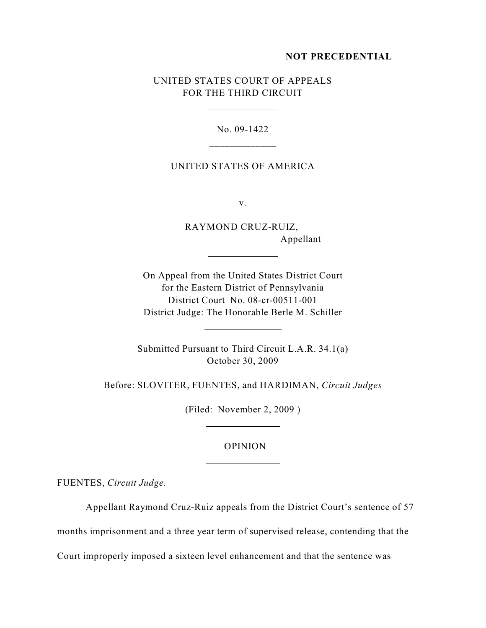# **NOT PRECEDENTIAL**

# UNITED STATES COURT OF APPEALS FOR THE THIRD CIRCUIT

 $\overline{a}$ 

 $\overline{a}$ 

 $\overline{a}$ 

 $\overline{a}$ 

 $\overline{a}$ 

No. 09-1422 \_\_\_\_\_\_\_\_\_\_\_\_\_

# UNITED STATES OF AMERICA

v.

RAYMOND CRUZ-RUIZ, Appellant

On Appeal from the United States District Court for the Eastern District of Pennsylvania District Court No. 08-cr-00511-001 District Judge: The Honorable Berle M. Schiller

Submitted Pursuant to Third Circuit L.A.R. 34.1(a) October 30, 2009

Before: SLOVITER, FUENTES, and HARDIMAN, *Circuit Judges*

(Filed: November 2, 2009 )

# OPINION

FUENTES, *Circuit Judge.*

Appellant Raymond Cruz-Ruiz appeals from the District Court's sentence of 57 months imprisonment and a three year term of supervised release, contending that the Court improperly imposed a sixteen level enhancement and that the sentence was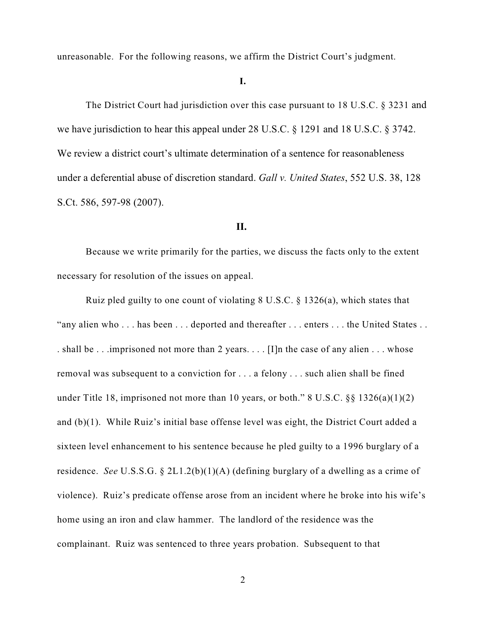unreasonable. For the following reasons, we affirm the District Court's judgment.

# **I.**

The District Court had jurisdiction over this case pursuant to 18 U.S.C. § 3231 and we have jurisdiction to hear this appeal under 28 U.S.C. § 1291 and 18 U.S.C. § 3742. We review a district court's ultimate determination of a sentence for reasonableness under a deferential abuse of discretion standard. *Gall v. United States*, 552 U.S. 38, 128 S.Ct. 586, 597-98 (2007).

### **II.**

Because we write primarily for the parties, we discuss the facts only to the extent necessary for resolution of the issues on appeal.

Ruiz pled guilty to one count of violating 8 U.S.C. § 1326(a), which states that "any alien who . . . has been . . . deported and thereafter . . . enters . . . the United States . . . shall be . . .imprisoned not more than 2 years. . . . [I]n the case of any alien . . . whose removal was subsequent to a conviction for . . . a felony . . . such alien shall be fined under Title 18, imprisoned not more than 10 years, or both." 8 U.S.C.  $\S$ § 1326(a)(1)(2) and (b)(1). While Ruiz's initial base offense level was eight, the District Court added a sixteen level enhancement to his sentence because he pled guilty to a 1996 burglary of a residence. *See* U.S.S.G. § 2L1.2(b)(1)(A) (defining burglary of a dwelling as a crime of violence). Ruiz's predicate offense arose from an incident where he broke into his wife's home using an iron and claw hammer. The landlord of the residence was the complainant. Ruiz was sentenced to three years probation. Subsequent to that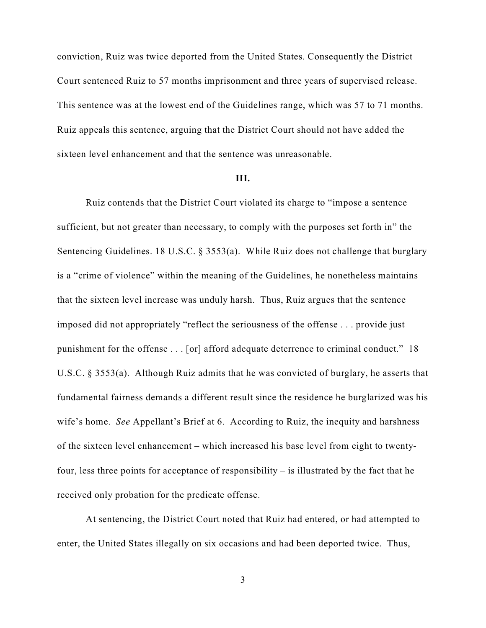conviction, Ruiz was twice deported from the United States. Consequently the District Court sentenced Ruiz to 57 months imprisonment and three years of supervised release. This sentence was at the lowest end of the Guidelines range, which was 57 to 71 months. Ruiz appeals this sentence, arguing that the District Court should not have added the sixteen level enhancement and that the sentence was unreasonable.

#### **III.**

Ruiz contends that the District Court violated its charge to "impose a sentence sufficient, but not greater than necessary, to comply with the purposes set forth in" the Sentencing Guidelines. 18 U.S.C. § 3553(a). While Ruiz does not challenge that burglary is a "crime of violence" within the meaning of the Guidelines, he nonetheless maintains that the sixteen level increase was unduly harsh. Thus, Ruiz argues that the sentence imposed did not appropriately "reflect the seriousness of the offense . . . provide just punishment for the offense . . . [or] afford adequate deterrence to criminal conduct." 18 U.S.C. § 3553(a). Although Ruiz admits that he was convicted of burglary, he asserts that fundamental fairness demands a different result since the residence he burglarized was his wife's home. *See* Appellant's Brief at 6. According to Ruiz, the inequity and harshness of the sixteen level enhancement – which increased his base level from eight to twentyfour, less three points for acceptance of responsibility – is illustrated by the fact that he received only probation for the predicate offense.

At sentencing, the District Court noted that Ruiz had entered, or had attempted to enter, the United States illegally on six occasions and had been deported twice. Thus,

3